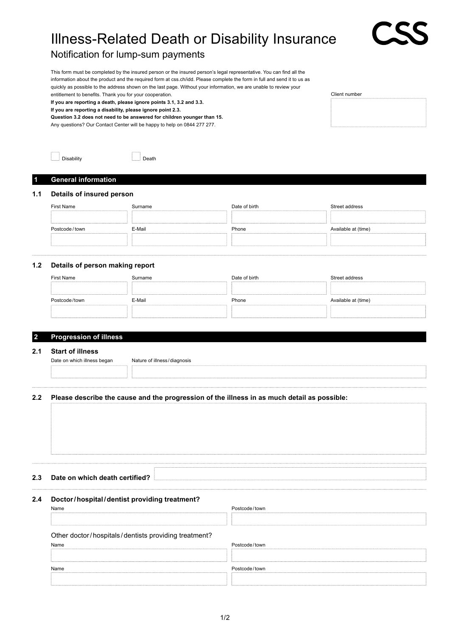# Illness-Related Death or Disability Insurance

## Notification for lump-sum payments

This form must be completed by the insured person or the insured person's legal representative. You can find all the information about the product and the required form at css.ch/idd. Please complete the form in full and send it to us as quickly as possible to the address shown on the last page. Without your information, we are unable to review your entitlement to benefits. Thank you for your cooperation.

**If you are reporting a death, please ignore points 3.1, 3.2 and 3.3.**

**If you are reporting a disability, please ignore point 2.3.**

**Question 3.2 does not need to be answered for children younger than 15.**

Any questions? Our Contact Center will be happy to help on 0844 277 277.

| Client number |  |  |
|---------------|--|--|
|               |  |  |
|               |  |  |
|               |  |  |

| <b>Disability</b> | ∴ Death |
|-------------------|---------|

#### **1 General information**

#### **1.1 Details of insured person**

| <b>First Name</b> | Surname | Date of birth | Street address      |
|-------------------|---------|---------------|---------------------|
|                   |         |               |                     |
| Postcode/town     | E-Mail  | Phone         | Available at (time) |
|                   |         |               |                     |

#### **1.2 Details of person making report**

| First Name    | Surname | Date of birth | Street address      |
|---------------|---------|---------------|---------------------|
|               |         |               |                     |
|               |         |               |                     |
| Postcode/town | E-Mail  | Phone         | Available at (time) |

#### **2 Progression of illness**

#### **2.1 Start of illness**

Date on which illness began Nature of illness / diagnosis

#### **2.2 Please describe the cause and the progression of the illness in as much detail as possible:**

**2.3 Date on which death certified?**

### **2.4 Doctor/hospital/dentist providing treatment?**

| Name                                                 | Postcode/town |
|------------------------------------------------------|---------------|
|                                                      |               |
|                                                      |               |
| Other doctor/hospitals/dentists providing treatment? |               |
| Name                                                 | Postcode/town |
|                                                      |               |
| Name                                                 | Postcode/town |
|                                                      |               |